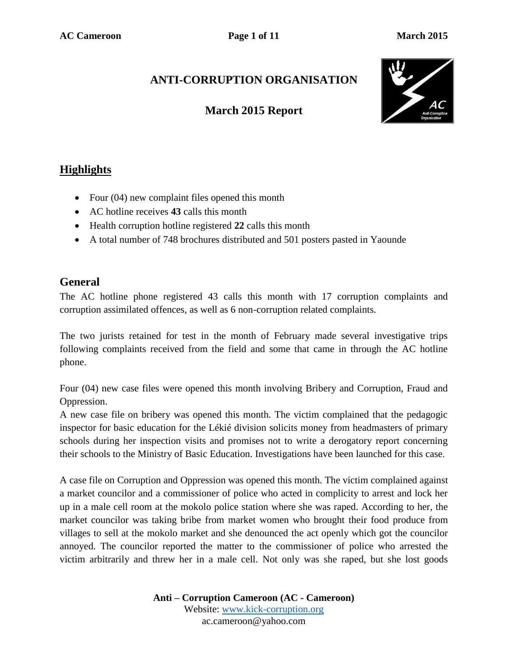# **ANTI-CORRUPTION ORGANISATION**

# **March 2015 Report**



# **Highlights**

- Four (04) new complaint files opened this month
- AC hotline receives **43** calls this month
- Health corruption hotline registered **22** calls this month
- A total number of 748 brochures distributed and 501 posters pasted in Yaounde

## **General**

The AC hotline phone registered 43 calls this month with 17 corruption complaints and corruption assimilated offences, as well as 6 non-corruption related complaints.

The two jurists retained for test in the month of February made several investigative trips following complaints received from the field and some that came in through the AC hotline phone.

Four (04) new case files were opened this month involving Bribery and Corruption, Fraud and Oppression.

A new case file on bribery was opened this month. The victim complained that the pedagogic inspector for basic education for the Lékié division solicits money from headmasters of primary schools during her inspection visits and promises not to write a derogatory report concerning their schools to the Ministry of Basic Education. Investigations have been launched for this case.

A case file on Corruption and Oppression was opened this month. The victim complained against a market councilor and a commissioner of police who acted in complicity to arrest and lock her up in a male cell room at the mokolo police station where she was raped. According to her, the market councilor was taking bribe from market women who brought their food produce from villages to sell at the mokolo market and she denounced the act openly which got the councilor annoyed. The councilor reported the matter to the commissioner of police who arrested the victim arbitrarily and threw her in a male cell. Not only was she raped, but she lost goods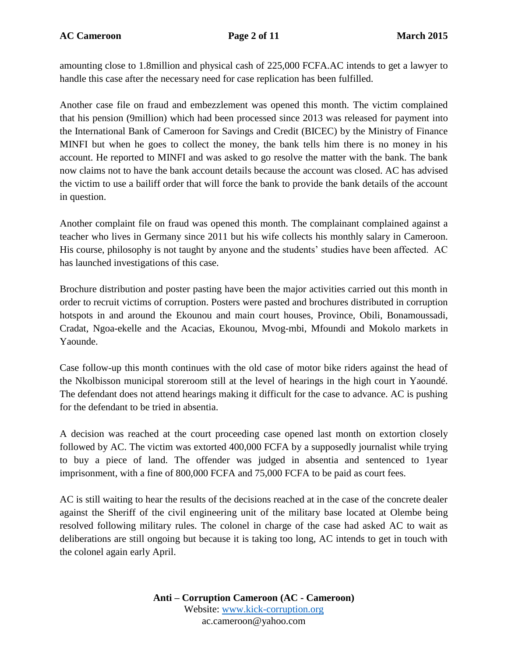amounting close to 1.8million and physical cash of 225,000 FCFA.AC intends to get a lawyer to handle this case after the necessary need for case replication has been fulfilled.

Another case file on fraud and embezzlement was opened this month. The victim complained that his pension (9million) which had been processed since 2013 was released for payment into the International Bank of Cameroon for Savings and Credit (BICEC) by the Ministry of Finance MINFI but when he goes to collect the money, the bank tells him there is no money in his account. He reported to MINFI and was asked to go resolve the matter with the bank. The bank now claims not to have the bank account details because the account was closed. AC has advised the victim to use a bailiff order that will force the bank to provide the bank details of the account in question.

Another complaint file on fraud was opened this month. The complainant complained against a teacher who lives in Germany since 2011 but his wife collects his monthly salary in Cameroon. His course, philosophy is not taught by anyone and the students' studies have been affected. AC has launched investigations of this case.

Brochure distribution and poster pasting have been the major activities carried out this month in order to recruit victims of corruption. Posters were pasted and brochures distributed in corruption hotspots in and around the Ekounou and main court houses, Province, Obili, Bonamoussadi, Cradat, Ngoa-ekelle and the Acacias, Ekounou, Mvog-mbi, Mfoundi and Mokolo markets in Yaounde.

Case follow-up this month continues with the old case of motor bike riders against the head of the Nkolbisson municipal storeroom still at the level of hearings in the high court in Yaoundé. The defendant does not attend hearings making it difficult for the case to advance. AC is pushing for the defendant to be tried in absentia.

A decision was reached at the court proceeding case opened last month on extortion closely followed by AC. The victim was extorted 400,000 FCFA by a supposedly journalist while trying to buy a piece of land. The offender was judged in absentia and sentenced to 1year imprisonment, with a fine of 800,000 FCFA and 75,000 FCFA to be paid as court fees.

AC is still waiting to hear the results of the decisions reached at in the case of the concrete dealer against the Sheriff of the civil engineering unit of the military base located at Olembe being resolved following military rules. The colonel in charge of the case had asked AC to wait as deliberations are still ongoing but because it is taking too long, AC intends to get in touch with the colonel again early April.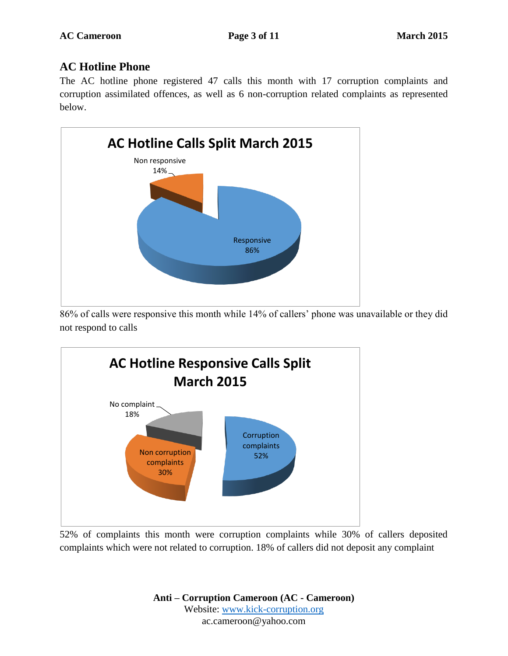# **AC Hotline Phone**

The AC hotline phone registered 47 calls this month with 17 corruption complaints and corruption assimilated offences, as well as 6 non-corruption related complaints as represented below.



86% of calls were responsive this month while 14% of callers' phone was unavailable or they did not respond to calls



52% of complaints this month were corruption complaints while 30% of callers deposited complaints which were not related to corruption. 18% of callers did not deposit any complaint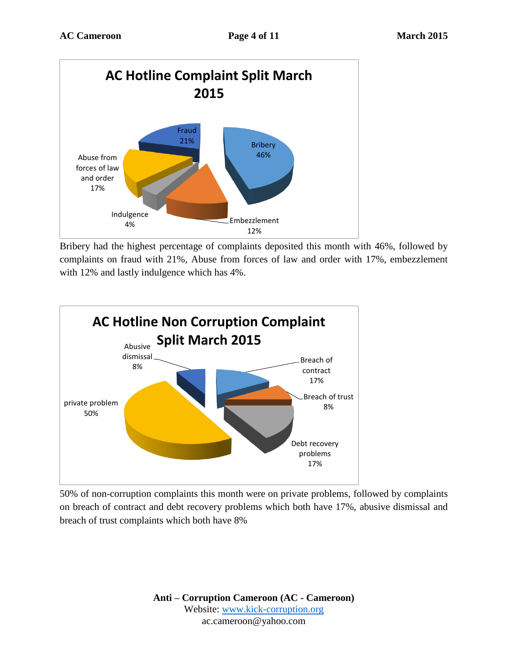

Bribery had the highest percentage of complaints deposited this month with 46%, followed by complaints on fraud with 21%, Abuse from forces of law and order with 17%, embezzlement with 12% and lastly indulgence which has 4%.



50% of non-corruption complaints this month were on private problems, followed by complaints on breach of contract and debt recovery problems which both have 17%, abusive dismissal and breach of trust complaints which both have 8%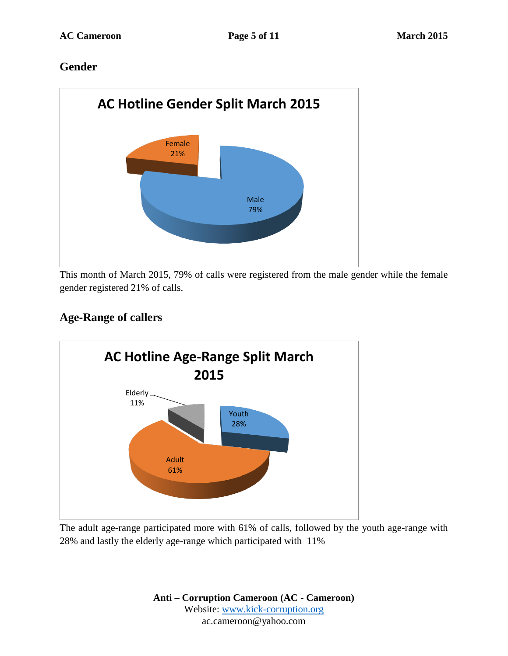## **Gender**



This month of March 2015, 79% of calls were registered from the male gender while the female gender registered 21% of calls.

# **Age-Range of callers**



The adult age-range participated more with 61% of calls, followed by the youth age-range with 28% and lastly the elderly age-range which participated with 11%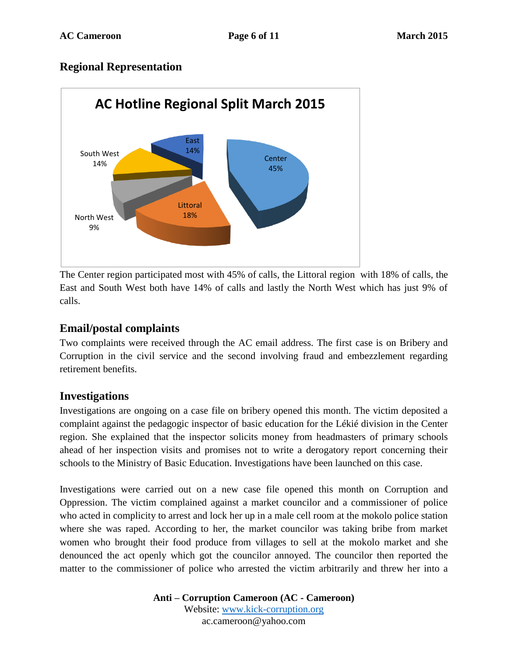#### **Regional Representation**



The Center region participated most with 45% of calls, the Littoral region with 18% of calls, the East and South West both have 14% of calls and lastly the North West which has just 9% of calls.

#### **Email/postal complaints**

Two complaints were received through the AC email address. The first case is on Bribery and Corruption in the civil service and the second involving fraud and embezzlement regarding retirement benefits.

#### **Investigations**

Investigations are ongoing on a case file on bribery opened this month. The victim deposited a complaint against the pedagogic inspector of basic education for the Lékié division in the Center region. She explained that the inspector solicits money from headmasters of primary schools ahead of her inspection visits and promises not to write a derogatory report concerning their schools to the Ministry of Basic Education. Investigations have been launched on this case.

Investigations were carried out on a new case file opened this month on Corruption and Oppression. The victim complained against a market councilor and a commissioner of police who acted in complicity to arrest and lock her up in a male cell room at the mokolo police station where she was raped. According to her, the market councilor was taking bribe from market women who brought their food produce from villages to sell at the mokolo market and she denounced the act openly which got the councilor annoyed. The councilor then reported the matter to the commissioner of police who arrested the victim arbitrarily and threw her into a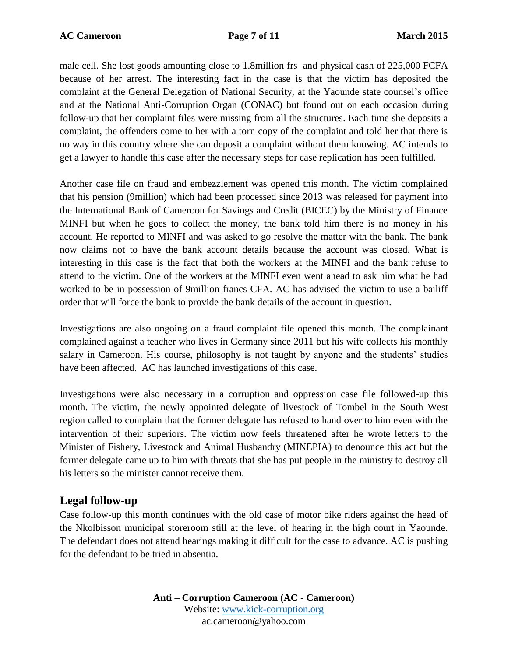male cell. She lost goods amounting close to 1.8million frs and physical cash of 225,000 FCFA because of her arrest. The interesting fact in the case is that the victim has deposited the complaint at the General Delegation of National Security, at the Yaounde state counsel's office and at the National Anti-Corruption Organ (CONAC) but found out on each occasion during follow-up that her complaint files were missing from all the structures. Each time she deposits a complaint, the offenders come to her with a torn copy of the complaint and told her that there is no way in this country where she can deposit a complaint without them knowing. AC intends to get a lawyer to handle this case after the necessary steps for case replication has been fulfilled.

Another case file on fraud and embezzlement was opened this month. The victim complained that his pension (9million) which had been processed since 2013 was released for payment into the International Bank of Cameroon for Savings and Credit (BICEC) by the Ministry of Finance MINFI but when he goes to collect the money, the bank told him there is no money in his account. He reported to MINFI and was asked to go resolve the matter with the bank. The bank now claims not to have the bank account details because the account was closed. What is interesting in this case is the fact that both the workers at the MINFI and the bank refuse to attend to the victim. One of the workers at the MINFI even went ahead to ask him what he had worked to be in possession of 9million francs CFA. AC has advised the victim to use a bailiff order that will force the bank to provide the bank details of the account in question.

Investigations are also ongoing on a fraud complaint file opened this month. The complainant complained against a teacher who lives in Germany since 2011 but his wife collects his monthly salary in Cameroon. His course, philosophy is not taught by anyone and the students' studies have been affected. AC has launched investigations of this case.

Investigations were also necessary in a corruption and oppression case file followed-up this month. The victim, the newly appointed delegate of livestock of Tombel in the South West region called to complain that the former delegate has refused to hand over to him even with the intervention of their superiors. The victim now feels threatened after he wrote letters to the Minister of Fishery, Livestock and Animal Husbandry (MINEPIA) to denounce this act but the former delegate came up to him with threats that she has put people in the ministry to destroy all his letters so the minister cannot receive them.

#### **Legal follow-up**

Case follow-up this month continues with the old case of motor bike riders against the head of the Nkolbisson municipal storeroom still at the level of hearing in the high court in Yaounde. The defendant does not attend hearings making it difficult for the case to advance. AC is pushing for the defendant to be tried in absentia.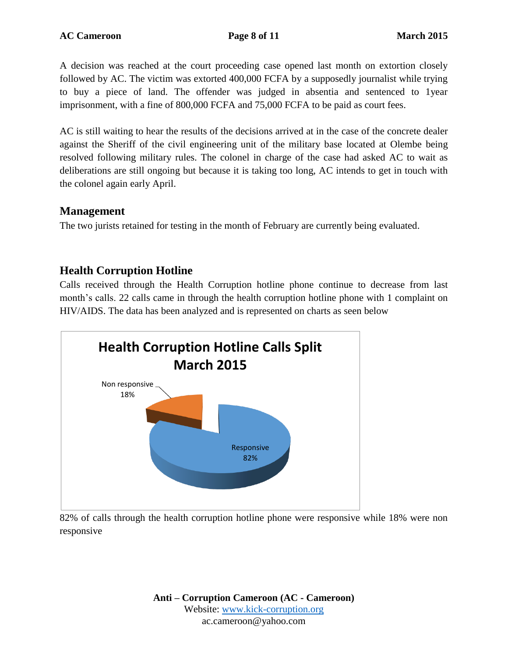A decision was reached at the court proceeding case opened last month on extortion closely followed by AC. The victim was extorted 400,000 FCFA by a supposedly journalist while trying to buy a piece of land. The offender was judged in absentia and sentenced to 1year imprisonment, with a fine of 800,000 FCFA and 75,000 FCFA to be paid as court fees.

AC is still waiting to hear the results of the decisions arrived at in the case of the concrete dealer against the Sheriff of the civil engineering unit of the military base located at Olembe being resolved following military rules. The colonel in charge of the case had asked AC to wait as deliberations are still ongoing but because it is taking too long, AC intends to get in touch with the colonel again early April.

### **Management**

The two jurists retained for testing in the month of February are currently being evaluated.

# **Health Corruption Hotline**

Calls received through the Health Corruption hotline phone continue to decrease from last month's calls. 22 calls came in through the health corruption hotline phone with 1 complaint on HIV/AIDS. The data has been analyzed and is represented on charts as seen below



82% of calls through the health corruption hotline phone were responsive while 18% were non responsive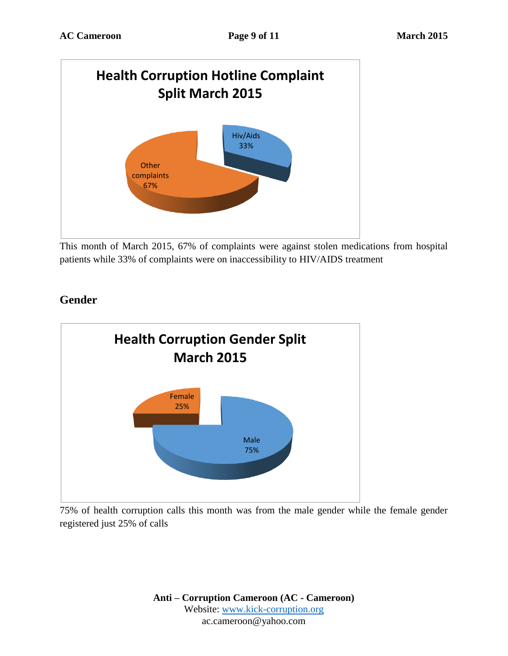

This month of March 2015, 67% of complaints were against stolen medications from hospital patients while 33% of complaints were on inaccessibility to HIV/AIDS treatment



# **Gender**

75% of health corruption calls this month was from the male gender while the female gender registered just 25% of calls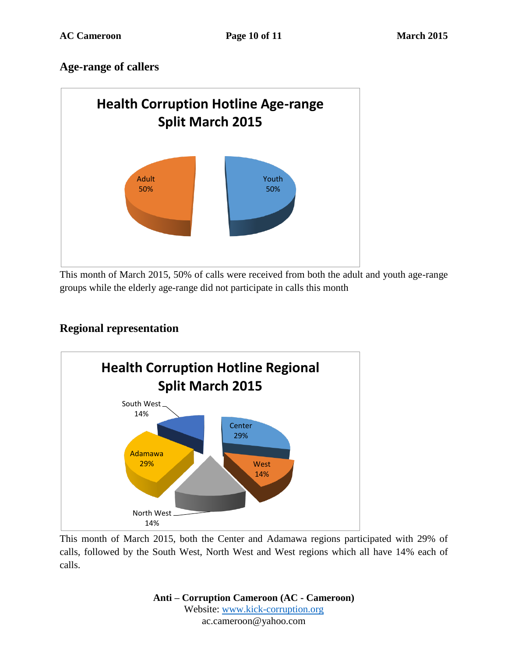### **Age-range of callers**



This month of March 2015, 50% of calls were received from both the adult and youth age-range groups while the elderly age-range did not participate in calls this month

## **Regional representation**



This month of March 2015, both the Center and Adamawa regions participated with 29% of calls, followed by the South West, North West and West regions which all have 14% each of calls.